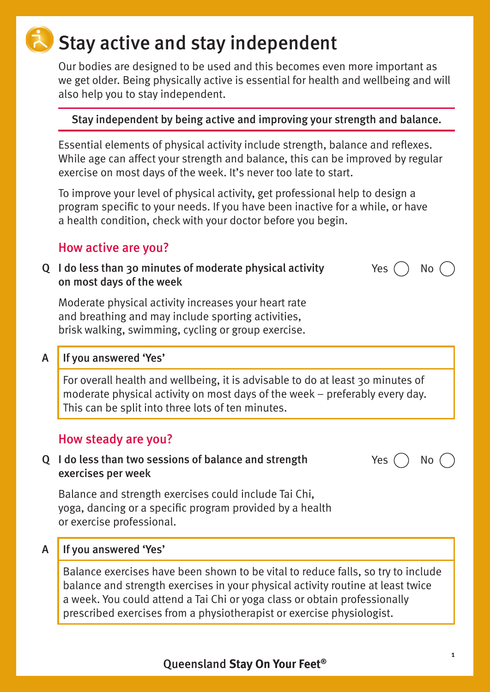# Stay active and stay independent

Our bodies are designed to be used and this becomes even more important as we get older. Being physically active is essential for health and wellbeing and will also help you to stay independent.

#### Stay independent by being active and improving your strength and balance.

Essential elements of physical activity include strength, balance and reflexes. While age can affect your strength and balance, this can be improved by regular exercise on most days of the week. It's never too late to start.

To improve your level of physical activity, get professional help to design a program specific to your needs. If you have been inactive for a while, or have a health condition, check with your doctor before you begin.

### How active are you?

Q I do less than 30 minutes of moderate physical activity on most days of the week

Moderate physical activity increases your heart rate and breathing and may include sporting activities, brisk walking, swimming, cycling or group exercise.

#### A If you answered 'Yes'

For overall health and wellbeing, it is advisable to do at least 30 minutes of moderate physical activity on most days of the week – preferably every day. This can be split into three lots of ten minutes.

#### How steady are you?

#### Q I do less than two sessions of balance and strength exercises per week

Balance and strength exercises could include Tai Chi, yoga, dancing or a specific program provided by a health or exercise professional.

#### A If you answered 'Yes'

Balance exercises have been shown to be vital to reduce falls, so try to include balance and strength exercises in your physical activity routine at least twice a week. You could attend a Tai Chi or yoga class or obtain professionally prescribed exercises from a physiotherapist or exercise physiologist.

Yes  $( )$  No  $($ 

Yes  $()$  No  $()$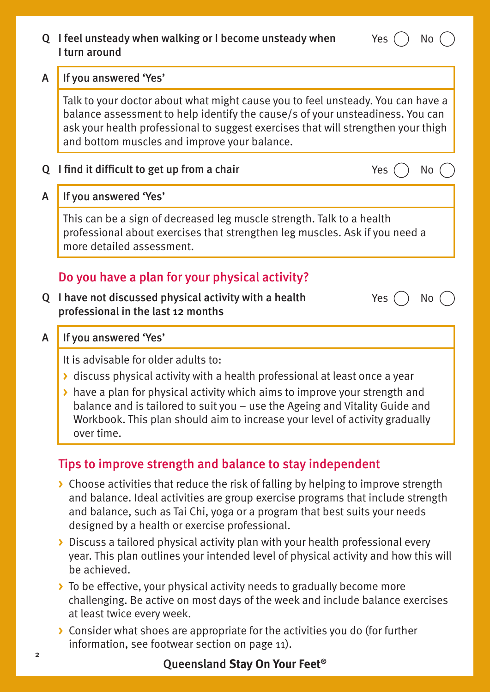|   | Q I feel unsteady when walking or I become unsteady when<br>Yes<br>No<br>I turn around                                                                                                                                                                                                                                                                                            |  |  |
|---|-----------------------------------------------------------------------------------------------------------------------------------------------------------------------------------------------------------------------------------------------------------------------------------------------------------------------------------------------------------------------------------|--|--|
| A | If you answered 'Yes'                                                                                                                                                                                                                                                                                                                                                             |  |  |
|   | Talk to your doctor about what might cause you to feel unsteady. You can have a<br>balance assessment to help identify the cause/s of your unsteadiness. You can<br>ask your health professional to suggest exercises that will strengthen your thigh<br>and bottom muscles and improve your balance.                                                                             |  |  |
| Q | I find it difficult to get up from a chair<br>Yes<br>No                                                                                                                                                                                                                                                                                                                           |  |  |
| A | If you answered 'Yes'                                                                                                                                                                                                                                                                                                                                                             |  |  |
|   | This can be a sign of decreased leg muscle strength. Talk to a health<br>professional about exercises that strengthen leg muscles. Ask if you need a<br>more detailed assessment.                                                                                                                                                                                                 |  |  |
|   | Do you have a plan for your physical activity?                                                                                                                                                                                                                                                                                                                                    |  |  |
|   | Q I have not discussed physical activity with a health<br><b>Yes</b><br>No<br>professional in the last 12 months                                                                                                                                                                                                                                                                  |  |  |
| A | If you answered 'Yes'                                                                                                                                                                                                                                                                                                                                                             |  |  |
|   | It is advisable for older adults to:<br>discuss physical activity with a health professional at least once a year<br>If the Nove a plan for physical activity which aims to improve your strength and<br>balance and is tailored to suit you – use the Ageing and Vitality Guide and<br>Workbook. This plan should aim to increase your level of activity gradually<br>over time. |  |  |
|   | Tips to improve strength and balance to stay independent                                                                                                                                                                                                                                                                                                                          |  |  |
|   | ▶ Choose activities that reduce the risk of falling by helping to improve strength<br>and balance. Ideal activities are group exercise programs that include strength<br>and balance, such as Tai Chi, yoga or a program that best suits your needs<br>designed by a health or exercise professional.                                                                             |  |  |
|   | Discuss a tailored physical activity plan with your health professional every<br>year. This plan outlines your intended level of physical activity and how this will<br>be achieved.                                                                                                                                                                                              |  |  |
|   | To be effective, your physical activity needs to gradually become more<br>challenging. Be active on most days of the week and include balance exercises<br>at least twice every week.                                                                                                                                                                                             |  |  |

**>** Consider what shoes are appropriate for the activities you do (for further information, see footwear section on page 11).

# Queensland **Stay On Your Feet®**

2